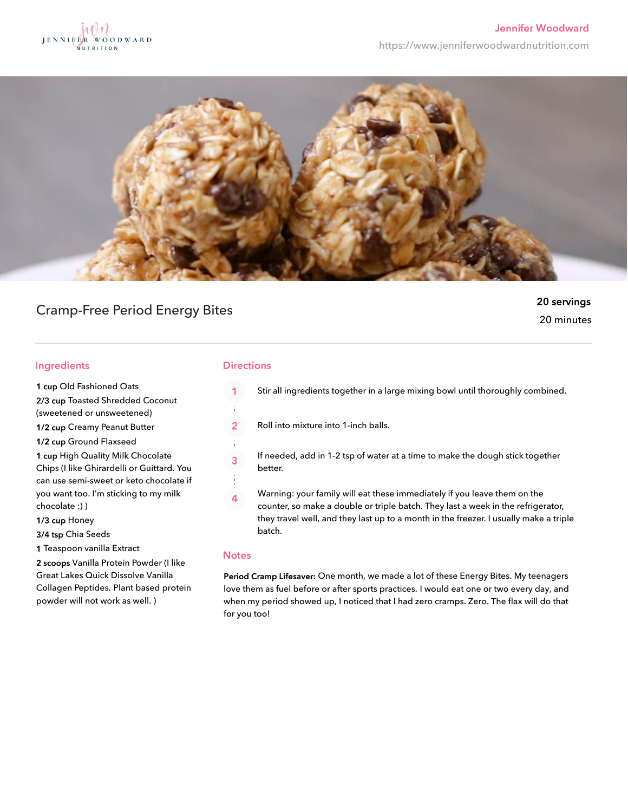



# Cramp-Free Period Energy Bites

## 20 servings 20 minutes

### **Ingredients**

1 cup Old Fashioned Oats

2/3 cup Toasted Shredded Coconut

(sweetened or unsweetened)

1/2 cup Creamy Peanut Butter

1/2 cup Ground Flaxseed

1 cup High Quality Milk Chocolate Chips (I like Ghirardelli or Guittard. You can use semi-sweet or keto chocolate if you want too. I'm sticking to my milk chocolate :) )

1/3 cup Honey

3/4 tsp Chia Seeds

1 Teaspoon vanilla Extract

2 scoops Vanilla Protein Powder (I like Great Lakes Quick Dissolve Vanilla Collagen Peptides. Plant based protein powder will not work as well. )

### **Directions**

- Stir all ingredients together in a large mixing bowl until thoroughly combined.
- $\overline{2}$ Roll into mixture into 1-inch balls.

If needed, add in 1-2 tsp of water at a time to make the dough stick together better.

Warning: your family will eat these immediately if you leave them on the  $\overline{4}$ counter, so make a double or triple batch. They last a week in the refrigerator, they travel well, and they last up to a month in the freezer. I usually make a triple batch.

#### **Notes**

 $\overline{3}$ 

Period Cramp Lifesaver: One month, we made a lot of these Energy Bites. My teenagers love them as fuel before or after sports practices. I would eat one or two every day, and when my period showed up, I noticed that I had zero cramps. Zero. The flax will do that for you too!